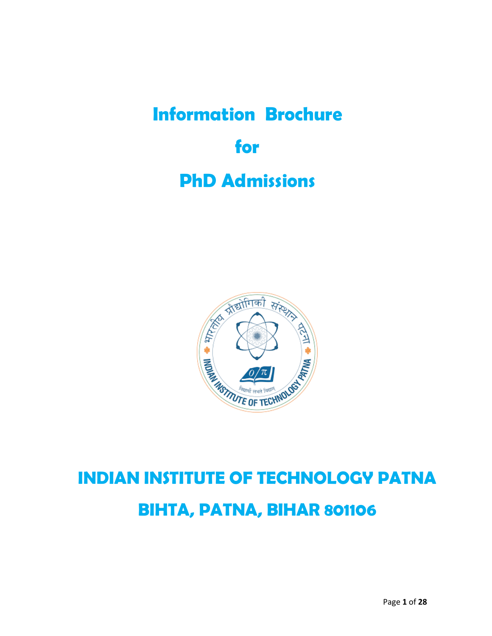# **Information Brochure for PhD Admissions**



## **INDIAN INSTITUTE OF TECHNOLOGY PATNA BIHTA, PATNA, BIHAR 801106**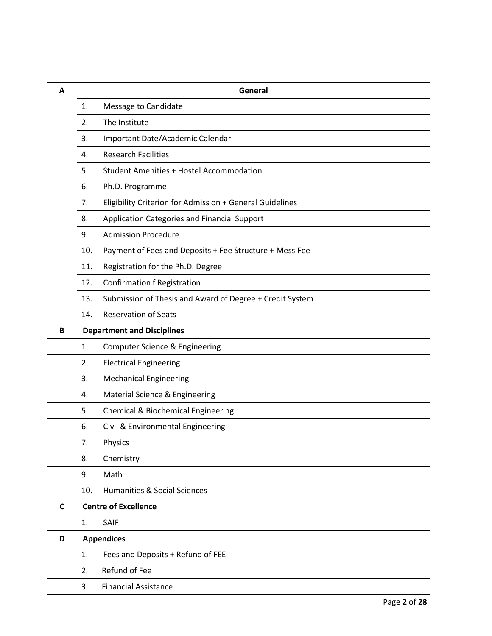| A |                     | General                                                  |  |  |
|---|---------------------|----------------------------------------------------------|--|--|
|   | 1.                  | Message to Candidate                                     |  |  |
|   | The Institute<br>2. |                                                          |  |  |
|   | 3.                  | Important Date/Academic Calendar                         |  |  |
|   | 4.                  | <b>Research Facilities</b>                               |  |  |
|   | 5.                  | <b>Student Amenities + Hostel Accommodation</b>          |  |  |
|   | 6.                  | Ph.D. Programme                                          |  |  |
|   | 7.                  | Eligibility Criterion for Admission + General Guidelines |  |  |
|   | 8.                  | Application Categories and Financial Support             |  |  |
|   | 9.                  | <b>Admission Procedure</b>                               |  |  |
|   | 10.                 | Payment of Fees and Deposits + Fee Structure + Mess Fee  |  |  |
|   | 11.                 | Registration for the Ph.D. Degree                        |  |  |
|   | 12.                 | <b>Confirmation f Registration</b>                       |  |  |
|   | 13.                 | Submission of Thesis and Award of Degree + Credit System |  |  |
|   | 14.                 | <b>Reservation of Seats</b>                              |  |  |
| B |                     | <b>Department and Disciplines</b>                        |  |  |
|   | 1.                  | Computer Science & Engineering                           |  |  |
|   | 2.                  | <b>Electrical Engineering</b>                            |  |  |
|   | 3.                  | <b>Mechanical Engineering</b>                            |  |  |
|   | 4.                  | Material Science & Engineering                           |  |  |
|   | 5.                  | Chemical & Biochemical Engineering                       |  |  |
|   | 6.                  | Civil & Environmental Engineering                        |  |  |
|   | 7.                  | Physics                                                  |  |  |
|   | 8.                  | Chemistry                                                |  |  |
|   | 9.                  | Math                                                     |  |  |
|   | 10.                 | <b>Humanities &amp; Social Sciences</b>                  |  |  |
| C |                     | <b>Centre of Excellence</b>                              |  |  |
|   | 1.                  | SAIF                                                     |  |  |
| D |                     | <b>Appendices</b>                                        |  |  |
|   | 1.                  | Fees and Deposits + Refund of FEE                        |  |  |
|   | 2.                  | Refund of Fee                                            |  |  |
|   | 3.                  | <b>Financial Assistance</b>                              |  |  |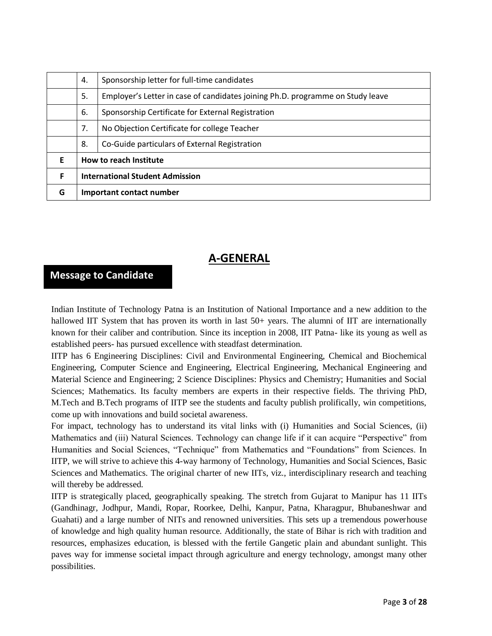|   | 4. | Sponsorship letter for full-time candidates                                    |  |  |  |
|---|----|--------------------------------------------------------------------------------|--|--|--|
|   | 5. | Employer's Letter in case of candidates joining Ph.D. programme on Study leave |  |  |  |
|   | 6. | Sponsorship Certificate for External Registration                              |  |  |  |
|   | 7. | No Objection Certificate for college Teacher                                   |  |  |  |
|   | 8. | Co-Guide particulars of External Registration                                  |  |  |  |
| F |    | How to reach Institute                                                         |  |  |  |
| F |    | <b>International Student Admission</b>                                         |  |  |  |
| G |    | Important contact number                                                       |  |  |  |

### **A-GENERAL**

## **Message to Candidate**

Indian Institute of Technology Patna is an Institution of National Importance and a new addition to the hallowed IIT System that has proven its worth in last 50+ years. The alumni of IIT are internationally known for their caliber and contribution. Since its inception in 2008, IIT Patna- like its young as well as established peers- has pursued excellence with steadfast determination.

IITP has 6 Engineering Disciplines: Civil and Environmental Engineering, Chemical and Biochemical Engineering, Computer Science and Engineering, Electrical Engineering, Mechanical Engineering and Material Science and Engineering; 2 Science Disciplines: Physics and Chemistry; Humanities and Social Sciences; Mathematics. Its faculty members are experts in their respective fields. The thriving PhD, M.Tech and B.Tech programs of IITP see the students and faculty publish prolifically, win competitions, come up with innovations and build societal awareness.

For impact, technology has to understand its vital links with (i) Humanities and Social Sciences, (ii) Mathematics and (iii) Natural Sciences. Technology can change life if it can acquire "Perspective" from Humanities and Social Sciences, "Technique" from Mathematics and "Foundations" from Sciences. In IITP, we will strive to achieve this 4-way harmony of Technology, Humanities and Social Sciences, Basic Sciences and Mathematics. The original charter of new IITs, viz., interdisciplinary research and teaching will thereby be addressed.

IITP is strategically placed, geographically speaking. The stretch from Gujarat to Manipur has 11 IITs (Gandhinagr, Jodhpur, Mandi, Ropar, Roorkee, Delhi, Kanpur, Patna, Kharagpur, Bhubaneshwar and Guahati) and a large number of NITs and renowned universities. This sets up a tremendous powerhouse of knowledge and high quality human resource. Additionally, the state of Bihar is rich with tradition and resources, emphasizes education, is blessed with the fertile Gangetic plain and abundant sunlight. This paves way for immense societal impact through agriculture and energy technology, amongst many other possibilities.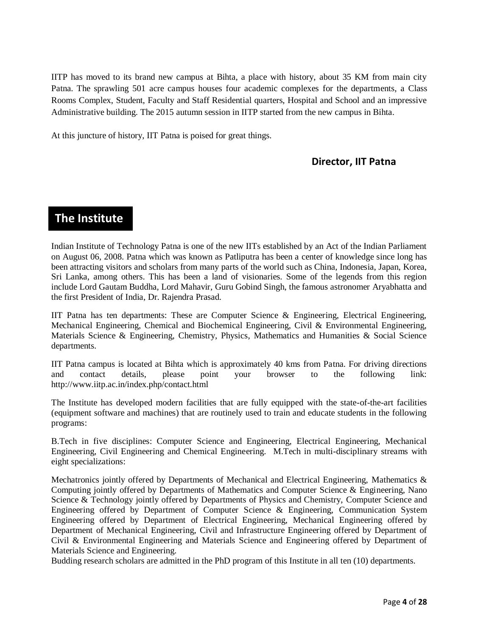IITP has moved to its brand new campus at Bihta, a place with history, about 35 KM from main city Patna. The sprawling 501 acre campus houses four academic complexes for the departments, a Class Rooms Complex, Student, Faculty and Staff Residential quarters, Hospital and School and an impressive Administrative building. The 2015 autumn session in IITP started from the new campus in Bihta.

At this juncture of history, IIT Patna is poised for great things.

#### **Director, IIT Patna**

## **The Institute**

Indian Institute of Technology Patna is one of the new IITs established by an Act of the Indian Parliament on August 06, 2008. Patna which was known as Patliputra has been a center of knowledge since long has been attracting visitors and scholars from many parts of the world such as China, Indonesia, Japan, Korea, Sri Lanka, among others. This has been a land of visionaries. Some of the legends from this region include Lord Gautam Buddha, Lord Mahavir, Guru Gobind Singh, the famous astronomer Aryabhatta and the first President of India, Dr. Rajendra Prasad.

IIT Patna has ten departments: These are Computer Science & Engineering, Electrical Engineering, Mechanical Engineering, Chemical and Biochemical Engineering, Civil & Environmental Engineering, Materials Science & Engineering, Chemistry, Physics, Mathematics and Humanities & Social Science departments.

IIT Patna campus is located at Bihta which is approximately 40 kms from Patna. For driving directions and contact details, please point your browser to the following link: http://www.iitp.ac.in/index.php/contact.html

The Institute has developed modern facilities that are fully equipped with the state-of-the-art facilities (equipment software and machines) that are routinely used to train and educate students in the following programs:

B.Tech in five disciplines: Computer Science and Engineering, Electrical Engineering, Mechanical Engineering, Civil Engineering and Chemical Engineering. M.Tech in multi-disciplinary streams with eight specializations:

Mechatronics jointly offered by Departments of Mechanical and Electrical Engineering, Mathematics & Computing jointly offered by Departments of Mathematics and Computer Science & Engineering, Nano Science & Technology jointly offered by Departments of Physics and Chemistry, Computer Science and Engineering offered by Department of Computer Science & Engineering, Communication System Engineering offered by Department of Electrical Engineering, Mechanical Engineering offered by Department of Mechanical Engineering, Civil and Infrastructure Engineering offered by Department of Civil & Environmental Engineering and Materials Science and Engineering offered by Department of Materials Science and Engineering.

Budding research scholars are admitted in the PhD program of this Institute in all ten (10) departments.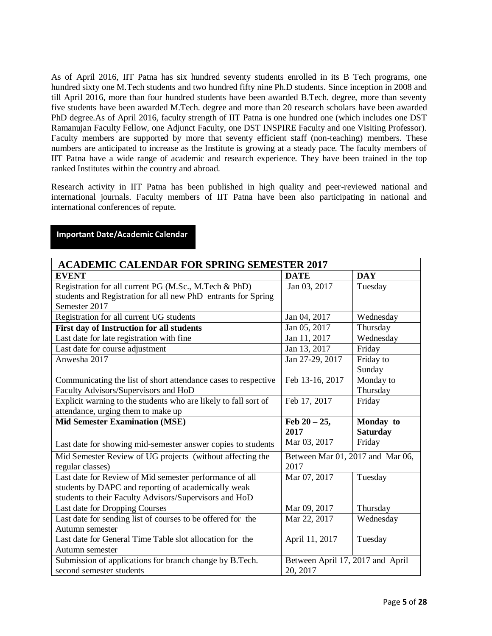As of April 2016, IIT Patna has six hundred seventy students enrolled in its B Tech programs, one hundred sixty one M.Tech students and two hundred fifty nine Ph.D students. Since inception in 2008 and till April 2016, more than four hundred students have been awarded B.Tech. degree, more than seventy five students have been awarded M.Tech. degree and more than 20 research scholars have been awarded PhD degree.As of April 2016, faculty strength of IIT Patna is one hundred one (which includes one DST Ramanujan Faculty Fellow, one Adjunct Faculty, one DST INSPIRE Faculty and one Visiting Professor). Faculty members are supported by more that seventy efficient staff (non-teaching) members. These numbers are anticipated to increase as the Institute is growing at a steady pace. The faculty members of IIT Patna have a wide range of academic and research experience. They have been trained in the top ranked Institutes within the country and abroad.

Research activity in IIT Patna has been published in high quality and peer-reviewed national and international journals. Faculty members of IIT Patna have been also participating in national and international conferences of repute.

| <b>ACADEMIC CALENDAR FOR SPRING SEMESTER 2017</b>                                   |                                              |                 |  |  |
|-------------------------------------------------------------------------------------|----------------------------------------------|-----------------|--|--|
| <b>EVENT</b>                                                                        | <b>DATE</b>                                  | <b>DAY</b>      |  |  |
| Registration for all current PG (M.Sc., M.Tech & PhD)                               | Jan 03, 2017                                 | Tuesday         |  |  |
| students and Registration for all new PhD entrants for Spring                       |                                              |                 |  |  |
| Semester 2017                                                                       |                                              |                 |  |  |
| Registration for all current UG students                                            | Jan 04, 2017                                 | Wednesday       |  |  |
| First day of Instruction for all students                                           | Jan 05, 2017                                 | Thursday        |  |  |
| Last date for late registration with fine                                           | Jan 11, 2017                                 | Wednesday       |  |  |
| Last date for course adjustment                                                     | Jan 13, 2017                                 | Friday          |  |  |
| Anwesha 2017                                                                        | Jan 27-29, 2017                              | Friday to       |  |  |
|                                                                                     |                                              | Sunday          |  |  |
| Communicating the list of short attendance cases to respective                      | Feb 13-16, 2017                              | Monday to       |  |  |
| Faculty Advisors/Supervisors and HoD                                                |                                              | Thursday        |  |  |
| Explicit warning to the students who are likely to fall sort of                     | Feb 17, 2017                                 | Friday          |  |  |
| attendance, urging them to make up                                                  |                                              |                 |  |  |
|                                                                                     |                                              |                 |  |  |
| <b>Mid Semester Examination (MSE)</b>                                               | Feb $20 - 25$ ,                              | Monday to       |  |  |
|                                                                                     | 2017                                         | <b>Saturday</b> |  |  |
| Last date for showing mid-semester answer copies to students                        | Mar 03, 2017                                 | Friday          |  |  |
| Mid Semester Review of UG projects (without affecting the                           | Between Mar 01, 2017 and Mar 06,             |                 |  |  |
| regular classes)                                                                    | 2017                                         |                 |  |  |
| Last date for Review of Mid semester performance of all                             | Mar 07, 2017                                 | Tuesday         |  |  |
| students by DAPC and reporting of academically weak                                 |                                              |                 |  |  |
| students to their Faculty Advisors/Supervisors and HoD                              |                                              |                 |  |  |
| Last date for Dropping Courses                                                      | Mar 09, 2017                                 | Thursday        |  |  |
| Last date for sending list of courses to be offered for the                         | Mar 22, 2017                                 | Wednesday       |  |  |
| Autumn semester                                                                     |                                              |                 |  |  |
| Last date for General Time Table slot allocation for the                            | April 11, 2017                               | Tuesday         |  |  |
| Autumn semester                                                                     |                                              |                 |  |  |
| Submission of applications for branch change by B.Tech.<br>second semester students | Between April 17, 2017 and April<br>20, 2017 |                 |  |  |

#### **Important Date/Academic Calendar**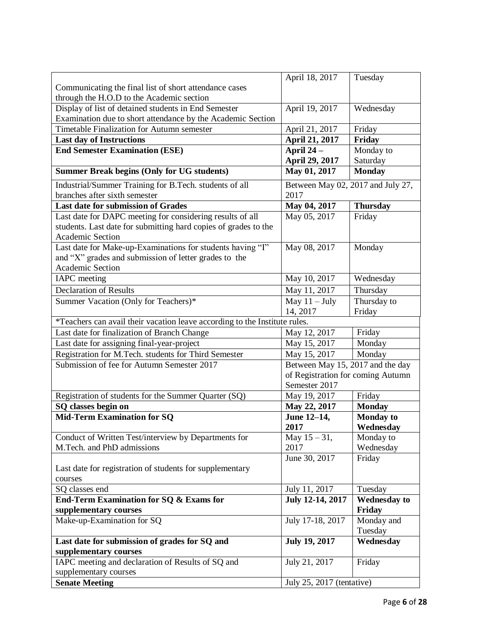|                                                                            | April 18, 2017                    | Tuesday             |
|----------------------------------------------------------------------------|-----------------------------------|---------------------|
| Communicating the final list of short attendance cases                     |                                   |                     |
| through the H.O.D to the Academic section                                  |                                   |                     |
| Display of list of detained students in End Semester                       | April 19, 2017                    | Wednesday           |
| Examination due to short attendance by the Academic Section                |                                   |                     |
| Timetable Finalization for Autumn semester                                 | April 21, 2017                    | Friday              |
| <b>Last day of Instructions</b>                                            | April 21, 2017                    | Friday              |
| <b>End Semester Examination (ESE)</b>                                      | April 24 -                        | Monday to           |
|                                                                            | April 29, 2017                    | Saturday            |
| <b>Summer Break begins (Only for UG students)</b>                          | May 01, 2017                      | <b>Monday</b>       |
| Industrial/Summer Training for B.Tech. students of all                     | Between May 02, 2017 and July 27, |                     |
| branches after sixth semester                                              | 2017                              |                     |
| <b>Last date for submission of Grades</b>                                  | May 04, 2017                      | <b>Thursday</b>     |
| Last date for DAPC meeting for considering results of all                  | May 05, 2017                      | Friday              |
| students. Last date for submitting hard copies of grades to the            |                                   |                     |
| Academic Section                                                           |                                   |                     |
| Last date for Make-up-Examinations for students having "I"                 | May 08, 2017                      | Monday              |
| and "X" grades and submission of letter grades to the                      |                                   |                     |
| Academic Section                                                           |                                   |                     |
| <b>IAPC</b> meeting                                                        | May 10, 2017                      | Wednesday           |
| <b>Declaration of Results</b>                                              | May 11, 2017                      | Thursday            |
| Summer Vacation (Only for Teachers)*                                       | May $11 - July$                   | Thursday to         |
|                                                                            | 14, 2017                          | Friday              |
| *Teachers can avail their vacation leave according to the Institute rules. |                                   |                     |
| Last date for finalization of Branch Change                                | May 12, 2017                      | Friday              |
| Last date for assigning final-year-project                                 | May 15, 2017                      | Monday              |
| Registration for M.Tech. students for Third Semester                       | May 15, 2017                      | Monday              |
| Submission of fee for Autumn Semester 2017                                 | Between May 15, 2017 and the day  |                     |
|                                                                            | of Registration for coming Autumn |                     |
|                                                                            | Semester 2017                     |                     |
| Registration of students for the Summer Quarter (SQ)                       | May 19, 2017                      | Friday              |
| SQ classes begin on                                                        | May 22, 2017                      | <b>Monday</b>       |
| <b>Mid-Term Examination for SQ</b>                                         | June 12-14,                       | <b>Monday to</b>    |
|                                                                            | 2017                              | Wednesday           |
| Conduct of Written Test/interview by Departments for                       | May $15 - 31$ ,                   | Monday to           |
| M.Tech. and PhD admissions                                                 | 2017                              | Wednesday           |
|                                                                            | June 30, 2017                     | Friday              |
| Last date for registration of students for supplementary                   |                                   |                     |
| courses                                                                    |                                   |                     |
| SQ classes end                                                             | July 11, 2017                     | Tuesday             |
| End-Term Examination for SQ & Exams for                                    | July 12-14, 2017                  | <b>Wednesday to</b> |
| supplementary courses                                                      |                                   | Friday              |
| Make-up-Examination for SQ                                                 | July 17-18, 2017                  | Monday and          |
|                                                                            |                                   | Tuesday             |
| Last date for submission of grades for SQ and                              | <b>July 19, 2017</b>              | Wednesday           |
| supplementary courses                                                      |                                   |                     |
| IAPC meeting and declaration of Results of SQ and                          | July 21, 2017                     | Friday              |
| supplementary courses                                                      |                                   |                     |
| <b>Senate Meeting</b>                                                      | July 25, 2017 (tentative)         |                     |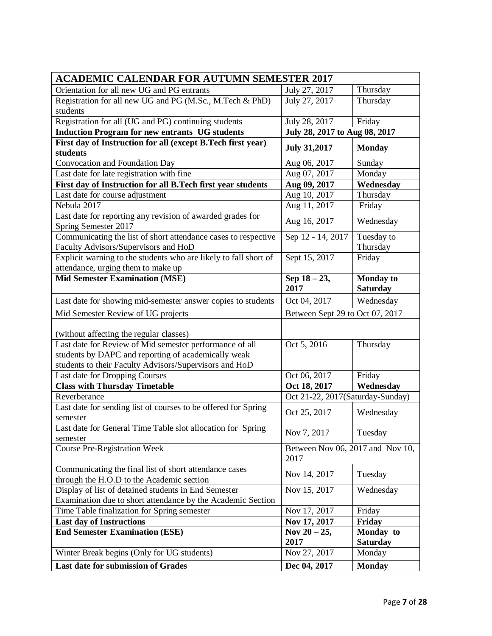| <b>ACADEMIC CALENDAR FOR AUTUMN SEMESTER 2017</b>                                                      |                                          |                                     |  |
|--------------------------------------------------------------------------------------------------------|------------------------------------------|-------------------------------------|--|
| Orientation for all new UG and PG entrants                                                             | July 27, 2017                            | Thursday                            |  |
| Registration for all new UG and PG (M.Sc., M.Tech & PhD)                                               | July 27, 2017                            | Thursday                            |  |
| students                                                                                               |                                          |                                     |  |
| Registration for all (UG and PG) continuing students                                                   | July 28, 2017                            | Friday                              |  |
| <b>Induction Program for new entrants UG students</b>                                                  | July 28, 2017 to Aug 08, 2017            |                                     |  |
| First day of Instruction for all (except B.Tech first year)<br>students                                | <b>July 31,2017</b>                      | <b>Monday</b>                       |  |
| Convocation and Foundation Day                                                                         | Aug 06, 2017                             | Sunday                              |  |
| Last date for late registration with fine                                                              | Aug 07, 2017                             | Monday                              |  |
| First day of Instruction for all B. Tech first year students                                           | Aug 09, 2017                             | Wednesday                           |  |
| Last date for course adjustment                                                                        | Aug 10, 2017                             | Thursday                            |  |
| Nebula 2017                                                                                            | Aug 11, 2017                             | Friday                              |  |
| Last date for reporting any revision of awarded grades for<br>Spring Semester 2017                     | Aug 16, 2017                             | Wednesday                           |  |
| Communicating the list of short attendance cases to respective<br>Faculty Advisors/Supervisors and HoD | Sep 12 - 14, 2017                        | Tuesday to<br>Thursday              |  |
| Explicit warning to the students who are likely to fall short of<br>attendance, urging them to make up | Sept 15, 2017                            | Friday                              |  |
| <b>Mid Semester Examination (MSE)</b>                                                                  | Sep 18 - 23,<br>2017                     | <b>Monday</b> to<br><b>Saturday</b> |  |
| Last date for showing mid-semester answer copies to students                                           | Oct 04, 2017                             | Wednesday                           |  |
| Mid Semester Review of UG projects                                                                     | Between Sept 29 to Oct 07, 2017          |                                     |  |
| (without affecting the regular classes)                                                                |                                          |                                     |  |
| Last date for Review of Mid semester performance of all                                                | Oct 5, 2016                              | Thursday                            |  |
| students by DAPC and reporting of academically weak                                                    |                                          |                                     |  |
| students to their Faculty Advisors/Supervisors and HoD                                                 |                                          |                                     |  |
| Last date for Dropping Courses                                                                         | Oct 06, 2017                             | Friday                              |  |
| <b>Class with Thursday Timetable</b>                                                                   | Oct 18, 2017                             | Wednesday                           |  |
| Reverberance                                                                                           | Oct 21-22, 2017(Saturday-Sunday)         |                                     |  |
| Last date for sending list of courses to be offered for Spring<br>semester                             | Oct 25, 2017                             | Wednesday                           |  |
| Last date for General Time Table slot allocation for Spring<br>semester                                | Nov 7, 2017                              | Tuesday                             |  |
| <b>Course Pre-Registration Week</b>                                                                    | Between Nov 06, 2017 and Nov 10,<br>2017 |                                     |  |
| Communicating the final list of short attendance cases<br>through the H.O.D to the Academic section    | Nov 14, 2017                             | Tuesday                             |  |
| Display of list of detained students in End Semester                                                   | Nov 15, 2017                             | Wednesday                           |  |
| Examination due to short attendance by the Academic Section                                            |                                          |                                     |  |
| Time Table finalization for Spring semester                                                            | Nov 17, 2017                             | Friday                              |  |
| <b>Last day of Instructions</b>                                                                        | Nov 17, 2017                             | <b>Friday</b>                       |  |
| <b>End Semester Examination (ESE)</b>                                                                  | Nov $20 - 25$ ,<br>2017                  | Monday to<br><b>Saturday</b>        |  |
| Winter Break begins (Only for UG students)                                                             | Nov 27, 2017                             | Monday                              |  |
| Last date for submission of Grades                                                                     | Dec 04, 2017                             | <b>Monday</b>                       |  |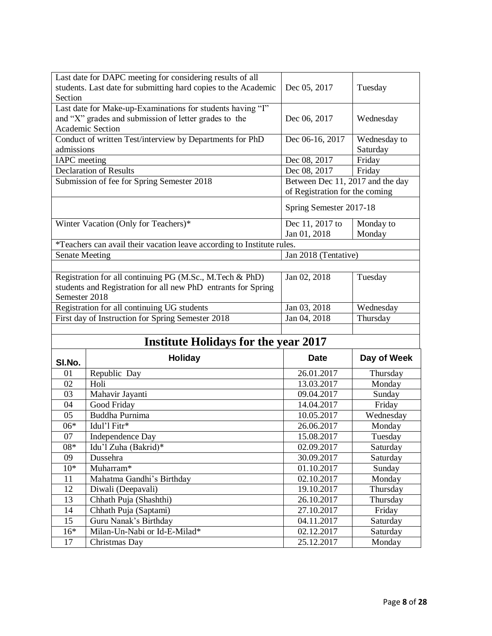|                                                   | Last date for DAPC meeting for considering results of all                                                           |                                  |                  |
|---------------------------------------------------|---------------------------------------------------------------------------------------------------------------------|----------------------------------|------------------|
|                                                   | students. Last date for submitting hard copies to the Academic                                                      | Dec 05, 2017                     | Tuesday          |
| Section                                           |                                                                                                                     |                                  |                  |
|                                                   | Last date for Make-up-Examinations for students having "I"<br>and "X" grades and submission of letter grades to the | Dec 06, 2017                     | Wednesday        |
|                                                   | Academic Section                                                                                                    |                                  |                  |
|                                                   | Conduct of written Test/interview by Departments for PhD                                                            | Dec 06-16, 2017                  | Wednesday to     |
| admissions                                        |                                                                                                                     |                                  | Saturday         |
| <b>IAPC</b> meeting                               |                                                                                                                     | Dec 08, 2017                     | Friday           |
|                                                   | Declaration of Results                                                                                              | Dec 08, 2017                     | Friday           |
|                                                   | Submission of fee for Spring Semester 2018                                                                          | Between Dec 11, 2017 and the day |                  |
|                                                   |                                                                                                                     | of Registration for the coming   |                  |
|                                                   |                                                                                                                     |                                  |                  |
|                                                   |                                                                                                                     | Spring Semester 2017-18          |                  |
|                                                   | Winter Vacation (Only for Teachers)*                                                                                | Dec 11, 2017 to                  | Monday to        |
|                                                   |                                                                                                                     | Jan 01, 2018                     | Monday           |
|                                                   | *Teachers can avail their vacation leave according to Institute rules.                                              |                                  |                  |
| <b>Senate Meeting</b>                             |                                                                                                                     | Jan 2018 (Tentative)             |                  |
|                                                   |                                                                                                                     |                                  |                  |
|                                                   | Registration for all continuing PG (M.Sc., M.Tech & PhD)                                                            | Jan 02, 2018                     | Tuesday          |
|                                                   | students and Registration for all new PhD entrants for Spring                                                       |                                  |                  |
| Semester 2018                                     |                                                                                                                     |                                  |                  |
| Registration for all continuing UG students       |                                                                                                                     | Jan 03, 2018                     | Wednesday        |
| First day of Instruction for Spring Semester 2018 |                                                                                                                     |                                  |                  |
|                                                   |                                                                                                                     | Jan 04, 2018                     | Thursday         |
|                                                   |                                                                                                                     |                                  |                  |
|                                                   | <b>Institute Holidays for the year 2017</b>                                                                         |                                  |                  |
|                                                   | <b>Holiday</b>                                                                                                      | <b>Date</b>                      | Day of Week      |
| SI.No.                                            |                                                                                                                     |                                  |                  |
| 01<br>02                                          | Republic Day<br>Holi                                                                                                | 26.01.2017<br>13.03.2017         | Thursday         |
| 03                                                |                                                                                                                     | 09.04.2017                       | Monday           |
| 04                                                | Mahavir Jayanti                                                                                                     | 14.04.2017                       | Sunday<br>Friday |
| 05                                                | Good Friday<br>Buddha Purnima                                                                                       | 10.05.2017                       | Wednesday        |
| $06*$                                             | Idul'l Fitr*                                                                                                        | 26.06.2017                       | Monday           |
| 07                                                | Independence Day                                                                                                    | 15.08.2017                       | Tuesday          |
| 08*                                               | Idu'l Zuha (Bakrid)*                                                                                                | 02.09.2017                       | Saturday         |
| 09                                                | Dussehra                                                                                                            | 30.09.2017                       | Saturday         |
| $10*$                                             | Muharram*                                                                                                           | 01.10.2017                       | Sunday           |
| 11                                                | Mahatma Gandhi's Birthday                                                                                           | 02.10.2017                       | Monday           |
| 12                                                | Diwali (Deepavali)                                                                                                  | 19.10.2017                       | Thursday         |
| 13                                                | Chhath Puja (Shashthi)                                                                                              | 26.10.2017                       | Thursday         |
| 14                                                | Chhath Puja (Saptami)                                                                                               | 27.10.2017                       | Friday           |
| 15                                                | Guru Nanak's Birthday                                                                                               | 04.11.2017                       | Saturday         |
| $16*$                                             | Milan-Un-Nabi or Id-E-Milad*                                                                                        | 02.12.2017                       | Saturday         |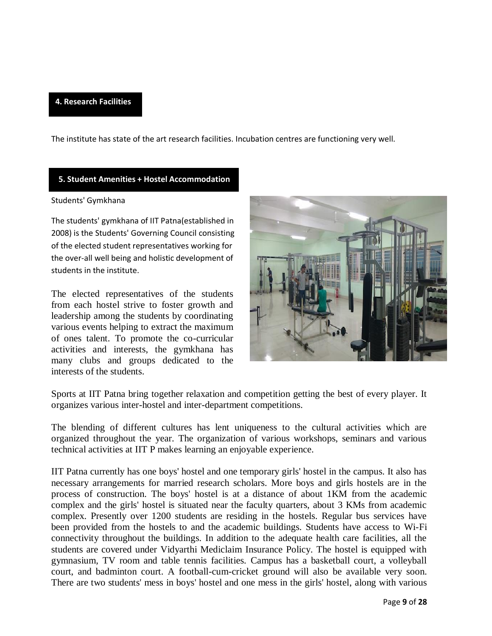#### **4. Research Facilities**

The institute has state of the art research facilities. Incubation centres are functioning very well.

#### **5. Student Amenities + Hostel Accommodation**

#### Students' Gymkhana

The students' gymkhana of IIT Patna(established in 2008) is the Students' Governing Council consisting of the elected student representatives working for the over-all well being and holistic development of students in the institute.

The elected representatives of the students from each hostel strive to foster growth and leadership among the students by coordinating various events helping to extract the maximum of ones talent. To promote the co-curricular activities and interests, the gymkhana has many clubs and groups dedicated to the interests of the students.



Sports at IIT Patna bring together relaxation and competition getting the best of every player. It organizes various inter-hostel and inter-department competitions.

The blending of different cultures has lent uniqueness to the cultural activities which are organized throughout the year. The organization of various workshops, seminars and various technical activities at IIT P makes learning an enjoyable experience.

IIT Patna currently has one boys' hostel and one temporary girls' hostel in the campus. It also has necessary arrangements for married research scholars. More boys and girls hostels are in the process of construction. The boys' hostel is at a distance of about 1KM from the academic complex and the girls' hostel is situated near the faculty quarters, about 3 KMs from academic complex. Presently over 1200 students are residing in the hostels. Regular bus services have been provided from the hostels to and the academic buildings. Students have access to Wi-Fi connectivity throughout the buildings. In addition to the adequate health care facilities, all the students are covered under Vidyarthi Mediclaim Insurance Policy. The hostel is equipped with gymnasium, TV room and table tennis facilities. Campus has a basketball court, a volleyball court, and badminton court. A football-cum-cricket ground will also be available very soon. There are two students' mess in boys' hostel and one mess in the girls' hostel, along with various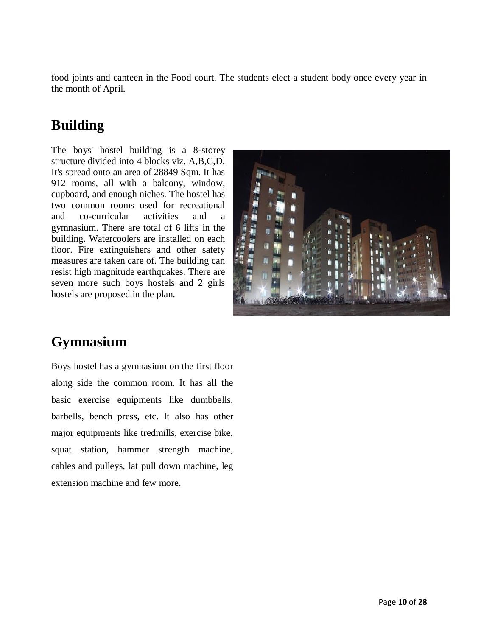food joints and canteen in the Food court. The students elect a student body once every year in the month of April.

## **Building**

The boys' hostel building is a 8-storey structure divided into 4 blocks viz. A,B,C,D. It's spread onto an area of 28849 Sqm. It has 912 rooms, all with a balcony, window, cupboard, and enough niches. The hostel has two common rooms used for recreational and co-curricular activities and a gymnasium. There are total of 6 lifts in the building. Watercoolers are installed on each floor. Fire extinguishers and other safety measures are taken care of. The building can resist high magnitude earthquakes. There are seven more such boys hostels and 2 girls hostels are proposed in the plan.



## **Gymnasium**

Boys hostel has a gymnasium on the first floor along side the common room. It has all the basic exercise equipments like dumbbells, barbells, bench press, etc. It also has other major equipments like tredmills, exercise bike, squat station, hammer strength machine, cables and pulleys, lat pull down machine, leg extension machine and few more.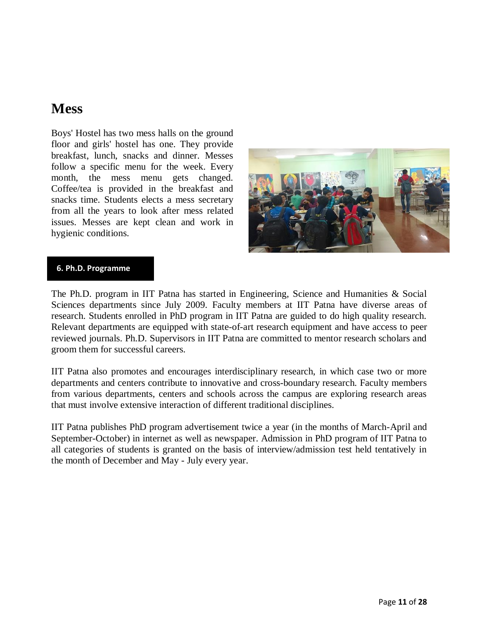## **Mess**

Boys' Hostel has two mess halls on the ground floor and girls' hostel has one. They provide breakfast, lunch, snacks and dinner. Messes follow a specific menu for the week. Every month, the mess menu gets changed. Coffee/tea is provided in the breakfast and snacks time. Students elects a mess secretary from all the years to look after mess related issues. Messes are kept clean and work in hygienic conditions.



#### **6. Ph.D. Programme**

The Ph.D. program in IIT Patna has started in Engineering, Science and Humanities & Social Sciences departments since July 2009. Faculty members at IIT Patna have diverse areas of research. Students enrolled in PhD program in IIT Patna are guided to do high quality research. Relevant departments are equipped with state-of-art research equipment and have access to peer reviewed journals. Ph.D. Supervisors in IIT Patna are committed to mentor research scholars and groom them for successful careers.

IIT Patna also promotes and encourages interdisciplinary research, in which case two or more departments and centers contribute to innovative and cross-boundary research. Faculty members from various departments, centers and schools across the campus are exploring research areas that must involve extensive interaction of different traditional disciplines.

IIT Patna publishes PhD program advertisement twice a year (in the months of March-April and September-October) in internet as well as newspaper. Admission in PhD program of IIT Patna to all categories of students is granted on the basis of interview/admission test held tentatively in the month of December and May - July every year.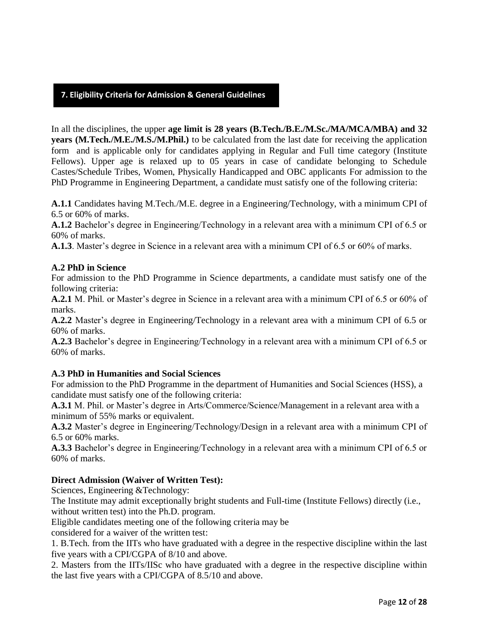#### **7. Eligibility Criteria for Admission & General Guidelines**

In all the disciplines, the upper **age limit is 28 years (B.Tech./B.E./M.Sc./MA/MCA/MBA) and 32 years (M.Tech./M.E./M.S./M.Phil.)** to be calculated from the last date for receiving the application form and is applicable only for candidates applying in Regular and Full time category (Institute Fellows). Upper age is relaxed up to 05 years in case of candidate belonging to Schedule Castes/Schedule Tribes, Women, Physically Handicapped and OBC applicants For admission to the PhD Programme in Engineering Department, a candidate must satisfy one of the following criteria:

**A.1.1** Candidates having M.Tech./M.E. degree in a Engineering/Technology, with a minimum CPI of 6.5 or 60% of marks.

**A.1.2** Bachelor's degree in Engineering/Technology in a relevant area with a minimum CPI of 6.5 or 60% of marks.

**A.1.3**. Master's degree in Science in a relevant area with a minimum CPI of 6.5 or 60% of marks.

#### **A.2 PhD in Science**

For admission to the PhD Programme in Science departments, a candidate must satisfy one of the following criteria:

**A.2.1** M. Phil. or Master's degree in Science in a relevant area with a minimum CPI of 6.5 or 60% of marks.

**A.2.2** Master's degree in Engineering/Technology in a relevant area with a minimum CPI of 6.5 or 60% of marks.

**A.2.3** Bachelor's degree in Engineering/Technology in a relevant area with a minimum CPI of 6.5 or 60% of marks.

#### **A.3 PhD in Humanities and Social Sciences**

For admission to the PhD Programme in the department of Humanities and Social Sciences (HSS), a candidate must satisfy one of the following criteria:

**A.3.1** M. Phil. or Master's degree in Arts/Commerce/Science/Management in a relevant area with a minimum of 55% marks or equivalent.

**A.3.2** Master's degree in Engineering/Technology/Design in a relevant area with a minimum CPI of 6.5 or 60% marks.

**A.3.3** Bachelor's degree in Engineering/Technology in a relevant area with a minimum CPI of 6.5 or 60% of marks.

#### **Direct Admission (Waiver of Written Test):**

Sciences, Engineering &Technology:

The Institute may admit exceptionally bright students and Full-time (Institute Fellows) directly (i.e., without written test) into the Ph.D. program.

Eligible candidates meeting one of the following criteria may be

considered for a waiver of the written test:

1. B.Tech. from the IITs who have graduated with a degree in the respective discipline within the last five years with a CPI/CGPA of 8/10 and above.

2. Masters from the IITs/IISc who have graduated with a degree in the respective discipline within the last five years with a CPI/CGPA of 8.5/10 and above.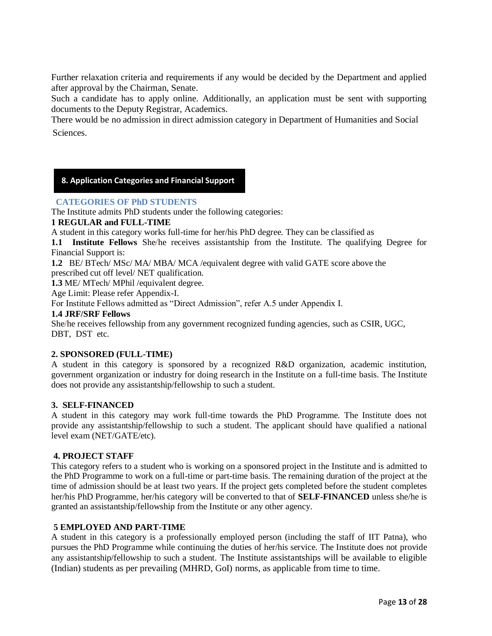Further relaxation criteria and requirements if any would be decided by the Department and applied after approval by the Chairman, Senate.

Such a candidate has to apply online. Additionally, an application must be sent with supporting documents to the Deputy Registrar, Academics.

There would be no admission in direct admission category in Department of Humanities and Social **Sciences** 

#### **8. Application Categories and Financial Support**

#### **CATEGORIES OF PhD STUDENTS**

The Institute admits PhD students under the following categories:

#### **1 REGULAR and FULL-TIME**

A student in this category works full-time for her/his PhD degree. They can be classified as

**1.1 Institute Fellows** She/he receives assistantship from the Institute. The qualifying Degree for Financial Support is:

**1.2** BE/ BTech/ MSc/ MA/ MBA/ MCA /equivalent degree with valid GATE score above the prescribed cut off level/ NET qualification.

**1.3** ME/ MTech/ MPhil /equivalent degree.

Age Limit: Please refer Appendix-I.

For Institute Fellows admitted as "Direct Admission", refer A.5 under Appendix I.

#### **1.4 JRF/SRF Fellows**

I

She/he receives fellowship from any government recognized funding agencies, such as CSIR, UGC, DBT, DST etc.

#### **2. SPONSORED (FULL-TIME)**

A student in this category is sponsored by a recognized R&D organization, academic institution, government organization or industry for doing research in the Institute on a full-time basis. The Institute does not provide any assistantship/fellowship to such a student.

#### **3. SELF-FINANCED**

A student in this category may work full-time towards the PhD Programme. The Institute does not provide any assistantship/fellowship to such a student. The applicant should have qualified a national level exam (NET/GATE/etc).

#### **4. PROJECT STAFF**

This category refers to a student who is working on a sponsored project in the Institute and is admitted to the PhD Programme to work on a full-time or part-time basis. The remaining duration of the project at the time of admission should be at least two years. If the project gets completed before the student completes her/his PhD Programme, her/his category will be converted to that of **SELF-FINANCED** unless she/he is granted an assistantship/fellowship from the Institute or any other agency.

#### **5 EMPLOYED AND PART-TIME**

A student in this category is a professionally employed person (including the staff of IIT Patna), who pursues the PhD Programme while continuing the duties of her/his service. The Institute does not provide any assistantship/fellowship to such a student. The Institute assistantships will be available to eligible (Indian) students as per prevailing (MHRD, GoI) norms, as applicable from time to time.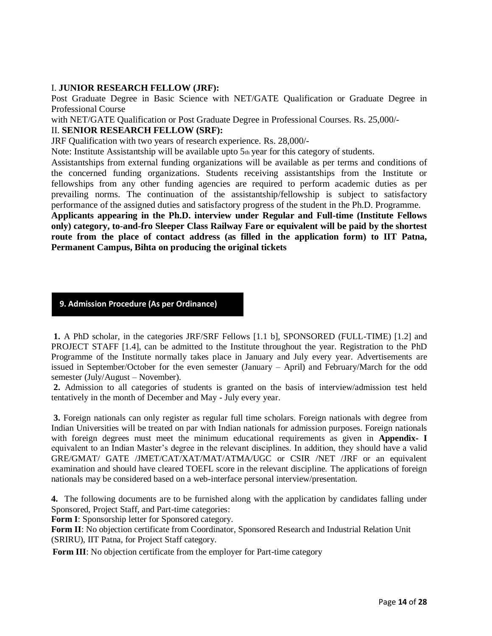#### I. **JUNIOR RESEARCH FELLOW (JRF):**

Post Graduate Degree in Basic Science with NET/GATE Qualification or Graduate Degree in Professional Course

with NET/GATE Qualification or Post Graduate Degree in Professional Courses. Rs. 25,000/-

#### II. **SENIOR RESEARCH FELLOW (SRF):**

JRF Qualification with two years of research experience. Rs. 28,000/-

Note: Institute Assistantship will be available upto  $5<sub>th</sub>$  year for this category of students.

Assistantships from external funding organizations will be available as per terms and conditions of the concerned funding organizations. Students receiving assistantships from the Institute or fellowships from any other funding agencies are required to perform academic duties as per prevailing norms. The continuation of the assistantship/fellowship is subject to satisfactory performance of the assigned duties and satisfactory progress of the student in the Ph.D. Programme.

**Applicants appearing in the Ph.D. interview under Regular and Full-time (Institute Fellows only) category, to-and-fro Sleeper Class Railway Fare or equivalent will be paid by the shortest route from the place of contact address (as filled in the application form) to IIT Patna, Permanent Campus, Bihta on producing the original tickets**

#### **9. Admission Procedure (As per Ordinance)**

**1.** A PhD scholar, in the categories JRF/SRF Fellows [1.1 b], SPONSORED (FULL-TIME) [1.2] and PROJECT STAFF [1.4], can be admitted to the Institute throughout the year. Registration to the PhD Programme of the Institute normally takes place in January and July every year. Advertisements are issued in September/October for the even semester (January – April) and February/March for the odd semester (July/August – November).

**2.** Admission to all categories of students is granted on the basis of interview/admission test held tentatively in the month of December and May - July every year.

**3.** Foreign nationals can only register as regular full time scholars. Foreign nationals with degree from Indian Universities will be treated on par with Indian nationals for admission purposes. Foreign nationals with foreign degrees must meet the minimum educational requirements as given in **Appendix- I**  equivalent to an Indian Master's degree in the relevant disciplines. In addition, they should have a valid GRE/GMAT/ GATE /JMET/CAT/XAT/MAT/ATMA/UGC or CSIR /NET /JRF or an equivalent examination and should have cleared TOEFL score in the relevant discipline. The applications of foreign nationals may be considered based on a web-interface personal interview/presentation.

**4.** The following documents are to be furnished along with the application by candidates falling under Sponsored, Project Staff, and Part-time categories:

**Form I**: Sponsorship letter for Sponsored category.

**Form II**: No objection certificate from Coordinator, Sponsored Research and Industrial Relation Unit (SRIRU), IIT Patna, for Project Staff category.

**Form III**: No objection certificate from the employer for Part-time category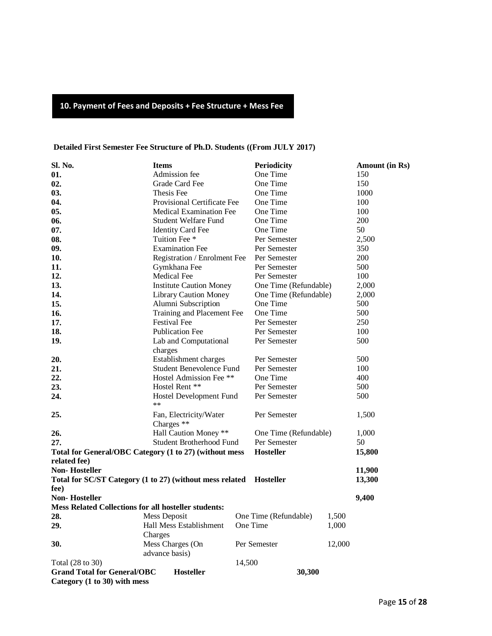## **10. Payment of Fees and Deposits + Fee Structure + Mess Fee**

#### **Detailed First Semester Fee Structure of Ph.D. Students ((From JULY 2017)**

| Sl. No.                                                            | <b>Items</b>                          |        | <b>Periodicity</b>    |        | Amount (in Rs) |
|--------------------------------------------------------------------|---------------------------------------|--------|-----------------------|--------|----------------|
| 01.                                                                | Admission fee                         |        | One Time              |        | 150            |
| 02.                                                                | Grade Card Fee                        |        | One Time              |        | 150            |
| 03.                                                                | Thesis Fee                            |        | One Time              |        | 1000           |
| 04.                                                                | Provisional Certificate Fee           |        | One Time              |        | 100            |
| 05.                                                                | <b>Medical Examination Fee</b>        |        | One Time              |        | 100            |
| 06.                                                                | Student Welfare Fund                  |        | One Time              |        | 200            |
| 07.                                                                | <b>Identity Card Fee</b>              |        | One Time              |        | 50             |
| 08.                                                                | Tuition Fee *                         |        | Per Semester          |        | 2,500          |
| 09.                                                                | <b>Examination Fee</b>                |        | Per Semester          |        | 350            |
| 10.                                                                | Registration / Enrolment Fee          |        | Per Semester          |        | 200            |
| 11.                                                                | Gymkhana Fee                          |        | Per Semester          |        | 500            |
| 12.                                                                | Medical Fee                           |        | Per Semester          |        | 100            |
| 13.                                                                | <b>Institute Caution Money</b>        |        | One Time (Refundable) |        | 2,000          |
| 14.                                                                | <b>Library Caution Money</b>          |        | One Time (Refundable) |        | 2,000          |
| 15.                                                                | Alumni Subscription                   |        | One Time              |        | 500            |
| 16.                                                                | Training and Placement Fee            |        | One Time              |        | 500            |
| 17.                                                                | <b>Festival Fee</b>                   |        | Per Semester          |        | 250            |
| 18.                                                                | <b>Publication Fee</b>                |        | Per Semester          |        | 100            |
| 19.                                                                | Lab and Computational                 |        | Per Semester          |        | 500            |
|                                                                    | charges                               |        |                       |        |                |
| 20.                                                                | Establishment charges                 |        | Per Semester          |        | 500            |
| 21.                                                                | <b>Student Benevolence Fund</b>       |        | Per Semester          |        | 100            |
| 22.                                                                | Hostel Admission Fee **               |        | One Time              |        | 400            |
| 23.                                                                | Hostel Rent **                        |        | Per Semester          |        | 500            |
| 24.                                                                | Hostel Development Fund<br>$\ast\ast$ |        | Per Semester          |        | 500            |
| 25.                                                                | Fan, Electricity/Water<br>Charges **  |        | Per Semester          |        | 1,500          |
| 26.                                                                | Hall Caution Money **                 |        | One Time (Refundable) |        | 1,000          |
| 27.                                                                | Student Brotherhood Fund              |        | Per Semester          |        | 50             |
| Total for General/OBC Category (1 to 27) (without mess             |                                       |        | <b>Hosteller</b>      |        | 15,800         |
| related fee)                                                       |                                       |        |                       |        |                |
| <b>Non-Hosteller</b>                                               |                                       |        |                       |        | 11,900         |
| Total for SC/ST Category (1 to 27) (without mess related Hosteller |                                       |        |                       |        | 13,300         |
| fee)                                                               |                                       |        |                       |        |                |
| <b>Non-Hosteller</b>                                               |                                       |        |                       |        | 9,400          |
| <b>Mess Related Collections for all hosteller students:</b>        |                                       |        |                       |        |                |
| 28.                                                                | Mess Deposit                          |        | One Time (Refundable) | 1,500  |                |
| 29.                                                                | Hall Mess Establishment               |        | One Time              | 1,000  |                |
|                                                                    | Charges                               |        |                       |        |                |
| 30.                                                                | Mess Charges (On                      |        | Per Semester          | 12,000 |                |
|                                                                    | advance basis)                        |        |                       |        |                |
| Total (28 to 30)                                                   |                                       | 14,500 |                       |        |                |
| <b>Grand Total for General/OBC</b><br><b>Hosteller</b><br>30,300   |                                       |        |                       |        |                |
| Category (1 to 30) with mess                                       |                                       |        |                       |        |                |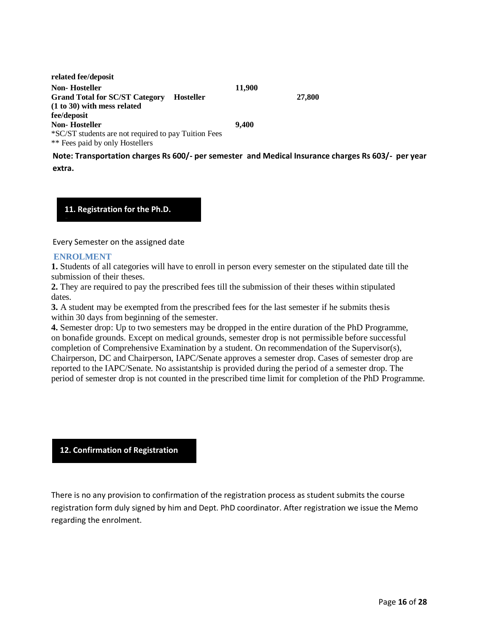| related fee/deposit                                       |        |        |
|-----------------------------------------------------------|--------|--------|
| Non- Hosteller                                            | 11,900 |        |
| <b>Grand Total for SC/ST Category</b><br><b>Hosteller</b> |        | 27,800 |
| (1 to 30) with mess related                               |        |        |
| fee/deposit                                               |        |        |
| Non- Hosteller                                            | 9.400  |        |
| *SC/ST students are not required to pay Tuition Fees      |        |        |
| ** Fees paid by only Hostellers                           |        |        |

**Note: Transportation charges Rs 600/- per semester and Medical Insurance charges Rs 603/- per year extra.**

**11. Registration for the Ph.D.** 

Every Semester on the assigned date

#### **ENROLMENT**

**Degree**

**1.** Students of all categories will have to enroll in person every semester on the stipulated date till the submission of their theses.

**2.** They are required to pay the prescribed fees till the submission of their theses within stipulated dates.

**3.** A student may be exempted from the prescribed fees for the last semester if he submits thesis within 30 days from beginning of the semester.

**4.** Semester drop: Up to two semesters may be dropped in the entire duration of the PhD Programme, on bonafide grounds. Except on medical grounds, semester drop is not permissible before successful completion of Comprehensive Examination by a student. On recommendation of the Supervisor(s), Chairperson, DC and Chairperson, IAPC/Senate approves a semester drop. Cases of semester drop are reported to the IAPC/Senate. No assistantship is provided during the period of a semester drop. The period of semester drop is not counted in the prescribed time limit for completion of the PhD Programme.

**12. Confirmation of Registration**

**Degree**

There is no any provision to confirmation of the registration process as student submits the course registration form duly signed by him and Dept. PhD coordinator. After registration we issue the Memo regarding the enrolment.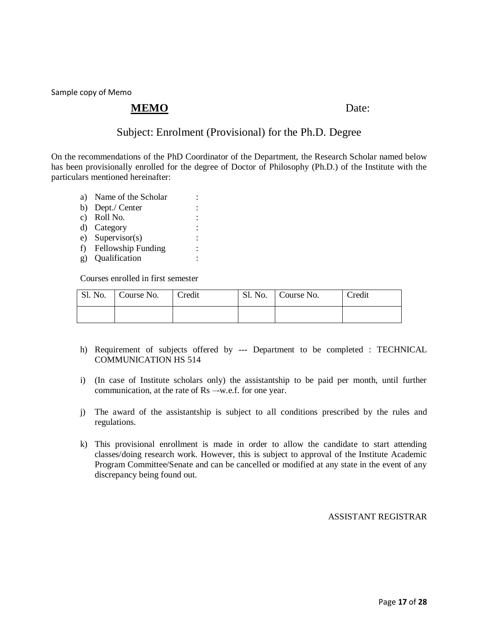Sample copy of Memo

#### **MEMO** Date:

#### Subject: Enrolment (Provisional) for the Ph.D. Degree

On the recommendations of the PhD Coordinator of the Department, the Research Scholar named below has been provisionally enrolled for the degree of Doctor of Philosophy (Ph.D.) of the Institute with the particulars mentioned hereinafter:

- a) Name of the Scholar : b) Dept./ Center :
- 
- c) Roll No.
- d) Category :
- e) Supervisor(s) : f) Fellowship Funding :
- g) Oualification

Courses enrolled in first semester

| Sl. No. | Course No. | <b>Credit</b> | Sl. No.   Course No. | Credit |
|---------|------------|---------------|----------------------|--------|
|         |            |               |                      |        |

- h) Requirement of subjects offered by --- Department to be completed : TECHNICAL COMMUNICATION HS 514
- i) (In case of Institute scholars only) the assistantship to be paid per month, until further communication, at the rate of Rs –-w.e.f. for one year.
- j) The award of the assistantship is subject to all conditions prescribed by the rules and regulations.
- k) This provisional enrollment is made in order to allow the candidate to start attending classes/doing research work. However, this is subject to approval of the Institute Academic Program Committee/Senate and can be cancelled or modified at any state in the event of any discrepancy being found out.

#### ASSISTANT REGISTRAR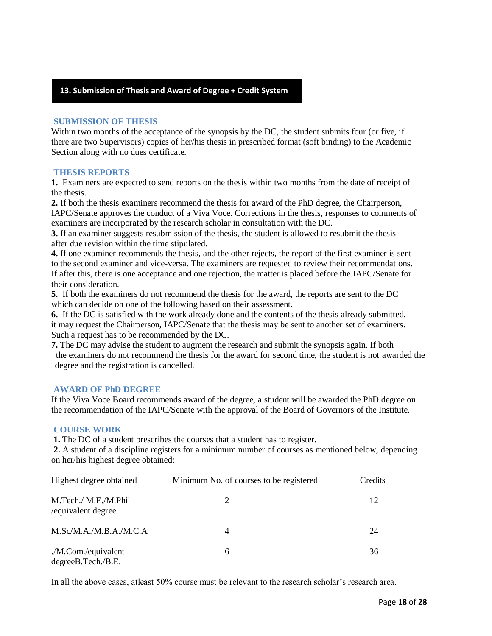#### **13. Submission of Thesis and Award of Degree + Credit System**

#### **SUBMISSION OF THESIS**

Within two months of the acceptance of the synopsis by the DC, the student submits four (or five, if there are two Supervisors) copies of her/his thesis in prescribed format (soft binding) to the Academic Section along with no dues certificate.

#### **THESIS REPORTS**

**Degree**

**1.** Examiners are expected to send reports on the thesis within two months from the date of receipt of the thesis.

**2.** If both the thesis examiners recommend the thesis for award of the PhD degree, the Chairperson, IAPC/Senate approves the conduct of a Viva Voce. Corrections in the thesis, responses to comments of examiners are incorporated by the research scholar in consultation with the DC.

**3.** If an examiner suggests resubmission of the thesis, the student is allowed to resubmit the thesis after due revision within the time stipulated.

**4.** If one examiner recommends the thesis, and the other rejects, the report of the first examiner is sent to the second examiner and vice-versa. The examiners are requested to review their recommendations. If after this, there is one acceptance and one rejection, the matter is placed before the IAPC/Senate for their consideration.

**5.** If both the examiners do not recommend the thesis for the award, the reports are sent to the DC which can decide on one of the following based on their assessment.

**6.** If the DC is satisfied with the work already done and the contents of the thesis already submitted, it may request the Chairperson, IAPC/Senate that the thesis may be sent to another set of examiners. Such a request has to be recommended by the DC.

**7.** The DC may advise the student to augment the research and submit the synopsis again. If both the examiners do not recommend the thesis for the award for second time, the student is not awarded the degree and the registration is cancelled.

#### **AWARD OF PhD DEGREE**

If the Viva Voce Board recommends award of the degree, a student will be awarded the PhD degree on the recommendation of the IAPC/Senate with the approval of the Board of Governors of the Institute.

#### **COURSE WORK**

**1.** The DC of a student prescribes the courses that a student has to register.

**2.** A student of a discipline registers for a minimum number of courses as mentioned below, depending on her/his highest degree obtained:

| Highest degree obtained                    | Minimum No. of courses to be registered | Credits |
|--------------------------------------------|-----------------------------------------|---------|
| M.Tech./ M.E./M.Phil<br>/equivalent degree | 2                                       | 12      |
| M.Sc/M.A./M.B.A./M.C.A                     | $\overline{4}$                          | 24      |
| ./M.Com./equivalent<br>degreeB.Tech./B.E.  | 6                                       | 36      |

In all the above cases, atleast 50% course must be relevant to the research scholar's research area.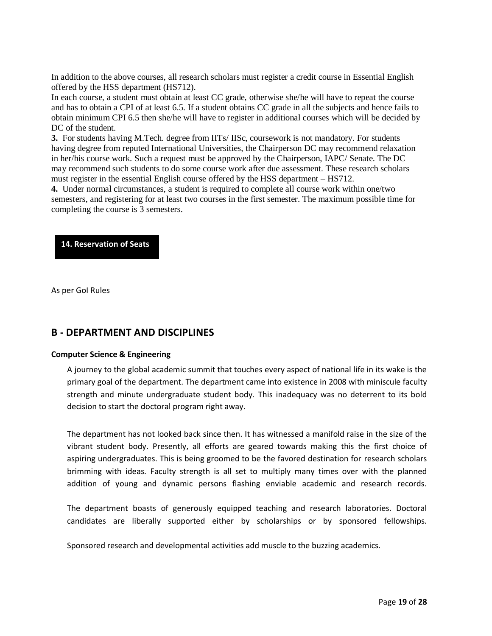In addition to the above courses, all research scholars must register a credit course in Essential English offered by the HSS department (HS712). .

In each course, a student must obtain at least CC grade, otherwise she/he will have to repeat the course and has to obtain a CPI of at least 6.5. If a student obtains CC grade in all the subjects and hence fails to obtain minimum CPI 6.5 then she/he will have to register in additional courses which will be decided by DC of the student.

**3.** For students having M.Tech. degree from IITs/ IISc, coursework is not mandatory. For students having degree from reputed International Universities, the Chairperson DC may recommend relaxation in her/his course work. Such a request must be approved by the Chairperson, IAPC/ Senate. The DC may recommend such students to do some course work after due assessment. These research scholars must register in the essential English course offered by the HSS department – HS712.

**4.** Under normal circumstances, a student is required to complete all course work within one/two semesters, and registering for at least two courses in the first semester. The maximum possible time for completing the course is 3 semesters.

#### **14. Reservation of Seats**

As per GoI Rules

#### **B - DEPARTMENT AND DISCIPLINES**

#### **Computer Science & Engineering**

A journey to the global academic summit that touches every aspect of national life in its wake is the primary goal of the department. The department came into existence in 2008 with miniscule faculty strength and minute undergraduate student body. This inadequacy was no deterrent to its bold decision to start the doctoral program right away.

The department has not looked back since then. It has witnessed a manifold raise in the size of the vibrant student body. Presently, all efforts are geared towards making this the first choice of aspiring undergraduates. This is being groomed to be the favored destination for research scholars brimming with ideas. Faculty strength is all set to multiply many times over with the planned addition of young and dynamic persons flashing enviable academic and research records.

The department boasts of generously equipped teaching and research laboratories. Doctoral candidates are liberally supported either by scholarships or by sponsored fellowships.

Sponsored research and developmental activities add muscle to the buzzing academics.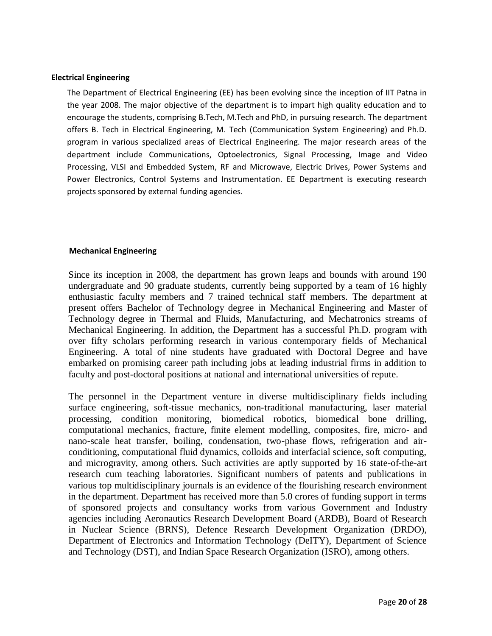#### **Electrical Engineering**

The Department of Electrical Engineering (EE) has been evolving since the inception of IIT Patna in the year 2008. The major objective of the department is to impart high quality education and to encourage the students, comprising B.Tech, M.Tech and PhD, in pursuing research. The department offers B. Tech in Electrical Engineering, M. Tech (Communication System Engineering) and Ph.D. program in various specialized areas of Electrical Engineering. The major research areas of the department include Communications, Optoelectronics, Signal Processing, Image and Video Processing, VLSI and Embedded System, RF and Microwave, Electric Drives, Power Systems and Power Electronics, Control Systems and Instrumentation. EE Department is executing research projects sponsored by external funding agencies.

#### **Mechanical Engineering**

Since its inception in 2008, the department has grown leaps and bounds with around 190 [undergraduate](http://www.iitp.ac.in/index.php/departments/engineering/mechanical-engineering/people/ug-students.html) and 90 [graduate students,](http://www.iitp.ac.in/index.php/departments/engineering/mechanical-engineering/people/pg-students.html) currently being supported by a team of 16 highly enthusiastic [faculty members](http://www.iitp.ac.in/index.php/departments/engineering/mechanical-engineering/people/faculty.html) and 7 trained [technical staff members.](http://www.iitp.ac.in/index.php/departments/engineering/mechanical-engineering/people/staff.html) The department at present offers [Bachelor of Technology degree](http://www.iitp.ac.in/index.php/departments/engineering/mechanical-engineering/courses.html) in Mechanical Engineering and [Master of](http://www.iitp.ac.in/index.php/departments/engineering/mechanical-engineering/courses.html)  [Technology degree](http://www.iitp.ac.in/index.php/departments/engineering/mechanical-engineering/courses.html) in Thermal and Fluids, Manufacturing, and Mechatronics streams of Mechanical Engineering. In addition, the Department has a successful [Ph.D. program with](http://www.iitp.ac.in/index.php/departments/engineering/mechanical-engineering/people/phd-students.html)  [over fifty scholars](http://www.iitp.ac.in/index.php/departments/engineering/mechanical-engineering/people/phd-students.html) performing research in various contemporary fields of Mechanical Engineering. A total of nine students have graduated with Doctoral Degree and have embarked on promising career path including jobs at leading industrial firms in addition to faculty and post-doctoral positions at national and international universities of repute.

The personnel in the Department venture in diverse multidisciplinary fields including surface engineering, soft-tissue mechanics, non-traditional manufacturing, laser material processing, condition monitoring, biomedical robotics, biomedical bone drilling, computational mechanics, fracture, finite element modelling, composites, fire, micro- and nano-scale heat transfer, boiling, condensation, two-phase flows, refrigeration and airconditioning, computational fluid dynamics, colloids and interfacial science, soft computing, and microgravity, among others. Such activities are aptly supported by 16 state-of-the-art [research cum teaching laboratories.](http://www.iitp.ac.in/index.php/departments/engineering/mechanical-engineering/facilities.html) Significant numbers of patents and publications in various top multidisciplinary journals is an evidence of the flourishing research environment in the department. Department has received more than 5.0 crores of funding support in terms of sponsored projects and consultancy works from various [Government and Industry](http://www.iitp.ac.in/index.php/departments/engineering/mechanical-engineering/research/projects.html)  [agencies](http://www.iitp.ac.in/index.php/departments/engineering/mechanical-engineering/research/projects.html) including Aeronautics Research Development Board (ARDB), Board of Research in Nuclear Science (BRNS), Defence Research Development Organization (DRDO), Department of Electronics and Information Technology (DeITY), Department of Science and Technology (DST), and Indian Space Research Organization (ISRO), among others.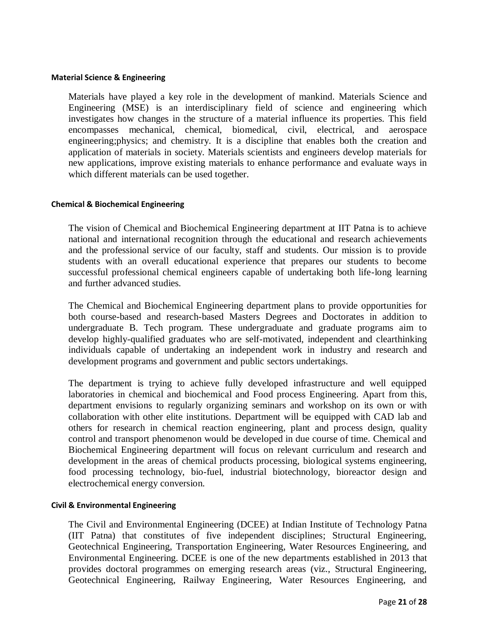#### **Material Science & Engineering**

Materials have played a key role in the development of mankind. Materials Science and Engineering (MSE) is an interdisciplinary field of science and engineering which investigates how changes in the structure of a material influence its properties. This field encompasses mechanical, chemical, biomedical, civil, electrical, and aerospace engineering;physics; and chemistry. It is a discipline that enables both the creation and application of materials in society. Materials scientists and engineers develop materials for new applications, improve existing materials to enhance performance and evaluate ways in which different materials can be used together.

#### **Chemical & Biochemical Engineering**

The vision of Chemical and Biochemical Engineering department at IIT Patna is to achieve national and international recognition through the educational and research achievements and the professional service of our faculty, staff and students. Our mission is to provide students with an overall educational experience that prepares our students to become successful professional chemical engineers capable of undertaking both life-long learning and further advanced studies.

The Chemical and Biochemical Engineering department plans to provide opportunities for both course-based and research-based Masters Degrees and Doctorates in addition to undergraduate B. Tech program. These undergraduate and graduate programs aim to develop highly-qualified graduates who are self-motivated, independent and clearthinking individuals capable of undertaking an independent work in industry and research and development programs and government and public sectors undertakings.

The department is trying to achieve fully developed infrastructure and well equipped laboratories in chemical and biochemical and Food process Engineering. Apart from this, department envisions to regularly organizing seminars and workshop on its own or with collaboration with other elite institutions. Department will be equipped with CAD lab and others for research in chemical reaction engineering, plant and process design, quality control and transport phenomenon would be developed in due course of time. Chemical and Biochemical Engineering department will focus on relevant curriculum and research and development in the areas of chemical products processing, biological systems engineering, food processing technology, bio-fuel, industrial biotechnology, bioreactor design and electrochemical energy conversion.

#### **Civil & Environmental Engineering**

The Civil and Environmental Engineering (DCEE) at Indian Institute of Technology Patna (IIT Patna) that constitutes of five independent disciplines; Structural Engineering, Geotechnical Engineering, Transportation Engineering, Water Resources Engineering, and Environmental Engineering. DCEE is one of the new departments established in 2013 that provides doctoral programmes on emerging research areas (viz., Structural Engineering, Geotechnical Engineering, Railway Engineering, Water Resources Engineering, and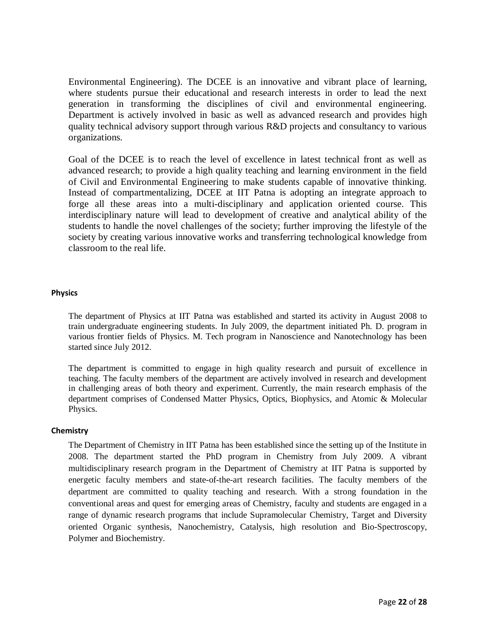Environmental Engineering). The DCEE is an innovative and vibrant place of learning, where students pursue their educational and research interests in order to lead the next generation in transforming the disciplines of civil and environmental engineering. Department is actively involved in basic as well as advanced research and provides high quality technical advisory support through various R&D projects and consultancy to various organizations.

Goal of the DCEE is to reach the level of excellence in latest technical front as well as advanced research; to provide a high quality teaching and learning environment in the field of Civil and Environmental Engineering to make students capable of innovative thinking. Instead of compartmentalizing, DCEE at IIT Patna is adopting an integrate approach to forge all these areas into a multi-disciplinary and application oriented course. This interdisciplinary nature will lead to development of creative and analytical ability of the students to handle the novel challenges of the society; further improving the lifestyle of the society by creating various innovative works and transferring technological knowledge from classroom to the real life.

#### **Physics**

The department of Physics at IIT Patna was established and started its activity in August 2008 to train undergraduate engineering students. In July 2009, the department initiated Ph. D. program in various frontier fields of Physics. M. Tech program in Nanoscience and Nanotechnology has been started since July 2012.

The department is committed to engage in high quality research and pursuit of excellence in teaching. The faculty members of the department are actively involved in research and development in challenging areas of both theory and experiment. Currently, the main research emphasis of the department comprises of Condensed Matter Physics, Optics, Biophysics, and Atomic & Molecular Physics.

#### **Chemistry**

The Department of Chemistry in IIT Patna has been established since the setting up of the Institute in 2008. The department started the PhD program in Chemistry from July 2009. A vibrant multidisciplinary research program in the Department of Chemistry at IIT Patna is supported by energetic faculty members and state-of-the-art research facilities. The faculty members of the department are committed to quality teaching and research. With a strong foundation in the conventional areas and quest for emerging areas of Chemistry, faculty and students are engaged in a range of dynamic research programs that include Supramolecular Chemistry, Target and Diversity oriented Organic synthesis, Nanochemistry, Catalysis, high resolution and Bio-Spectroscopy, Polymer and Biochemistry.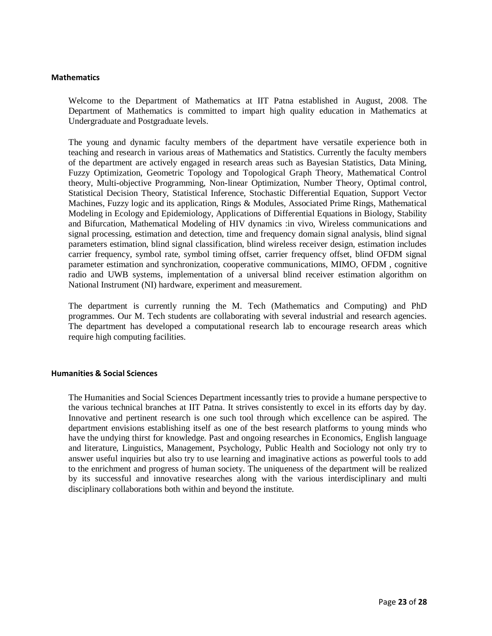#### **Mathematics**

Welcome to the Department of Mathematics at IIT Patna established in August, 2008. The Department of Mathematics is committed to impart high quality education in Mathematics at Undergraduate and Postgraduate levels.

The young and dynamic faculty members of the department have versatile experience both in teaching and research in various areas of Mathematics and Statistics. Currently the faculty members of the department are actively engaged in research areas such as Bayesian Statistics, Data Mining, Fuzzy Optimization, Geometric Topology and Topological Graph Theory, Mathematical Control theory, Multi-objective Programming, Non-linear Optimization, Number Theory, Optimal control, Statistical Decision Theory, Statistical Inference, Stochastic Differential Equation, Support Vector Machines, Fuzzy logic and its application, Rings & Modules, Associated Prime Rings, Mathematical Modeling in Ecology and Epidemiology, Applications of Differential Equations in Biology, Stability and Bifurcation, Mathematical Modeling of HIV dynamics :in vivo, Wireless communications and signal processing, estimation and detection, time and frequency domain signal analysis, blind signal parameters estimation, blind signal classification, blind wireless receiver design, estimation includes carrier frequency, symbol rate, symbol timing offset, carrier frequency offset, blind OFDM signal parameter estimation and synchronization, cooperative communications, MIMO, OFDM , cognitive radio and UWB systems, implementation of a universal blind receiver estimation algorithm on National Instrument (NI) hardware, experiment and measurement.

The department is currently running the M. Tech (Mathematics and Computing) and PhD programmes. Our M. Tech students are collaborating with several industrial and research agencies. The department has developed a computational research lab to encourage research areas which require high computing facilities.

#### **Humanities & Social Sciences**

The Humanities and Social Sciences Department incessantly tries to provide a humane perspective to the various technical branches at IIT Patna. It strives consistently to excel in its efforts day by day. Innovative and pertinent research is one such tool through which excellence can be aspired. The department envisions establishing itself as one of the best research platforms to young minds who have the undying thirst for knowledge. Past and ongoing researches in Economics, English language and literature, Linguistics, Management, Psychology, Public Health and Sociology not only try to answer useful inquiries but also try to use learning and imaginative actions as powerful tools to add to the enrichment and progress of human society. The uniqueness of the department will be realized by its successful and innovative researches along with the various interdisciplinary and multi disciplinary collaborations both within and beyond the institute.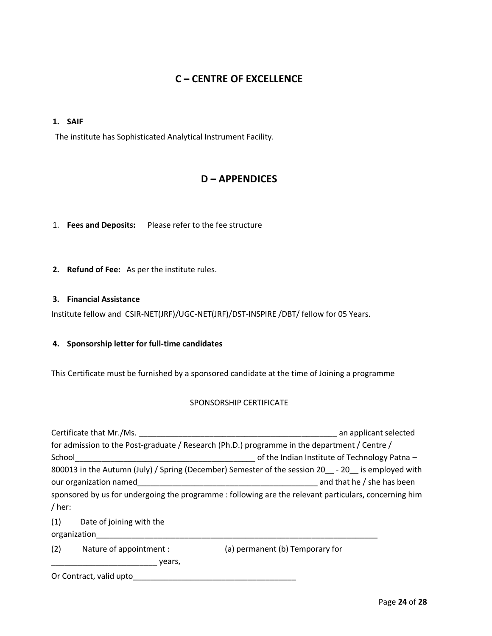### **C – CENTRE OF EXCELLENCE**

#### **1. SAIF**

The institute has Sophisticated Analytical Instrument Facility.

#### **D – APPENDICES**

1. **Fees and Deposits:** Please refer to the fee structure

**2. Refund of Fee:** As per the institute rules.

#### **3. Financial Assistance**

Institute fellow and CSIR-NET(JRF)/UGC-NET(JRF)/DST-INSPIRE /DBT/ fellow for 05 Years.

#### **4. Sponsorship letter for full-time candidates**

This Certificate must be furnished by a sponsored candidate at the time of Joining a programme

#### SPONSORSHIP CERTIFICATE

| Certificate that Mr./Ms.                                                                              | an applicant selected                                                                                  |  |  |  |
|-------------------------------------------------------------------------------------------------------|--------------------------------------------------------------------------------------------------------|--|--|--|
|                                                                                                       | for admission to the Post-graduate / Research (Ph.D.) programme in the department / Centre /           |  |  |  |
| School                                                                                                | of the Indian Institute of Technology Patna -                                                          |  |  |  |
|                                                                                                       | 800013 in the Autumn (July) / Spring (December) Semester of the session 20 __ - 20 __ is employed with |  |  |  |
| and that he / she has been<br>our organization named                                                  |                                                                                                        |  |  |  |
| sponsored by us for undergoing the programme : following are the relevant particulars, concerning him |                                                                                                        |  |  |  |
| / her:                                                                                                |                                                                                                        |  |  |  |
| (1)<br>Date of joining with the                                                                       |                                                                                                        |  |  |  |
| organization                                                                                          |                                                                                                        |  |  |  |
| (2)<br>Nature of appointment :                                                                        | (a) permanent (b) Temporary for                                                                        |  |  |  |
| years,                                                                                                |                                                                                                        |  |  |  |

Or Contract, valid upto\_\_\_\_\_\_\_\_\_\_\_\_\_\_\_\_\_\_\_\_\_\_\_\_\_\_\_\_\_\_\_\_\_\_\_\_\_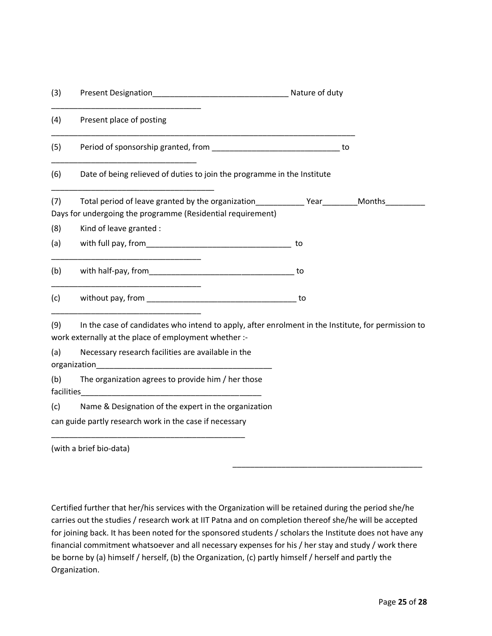| (3)        |                                                                                                                                                             | Nature of duty |        |
|------------|-------------------------------------------------------------------------------------------------------------------------------------------------------------|----------------|--------|
| (4)        | Present place of posting                                                                                                                                    |                |        |
| (5)        |                                                                                                                                                             | to             |        |
| (6)        | Date of being relieved of duties to join the programme in the Institute                                                                                     |                |        |
| (7)        | Total period of leave granted by the organization Total Pear                                                                                                |                | Months |
|            | Days for undergoing the programme (Residential requirement)                                                                                                 |                |        |
| (8)        | Kind of leave granted :                                                                                                                                     |                |        |
| (a)        |                                                                                                                                                             | to             |        |
| (b)        |                                                                                                                                                             | to             |        |
| (c)        |                                                                                                                                                             | to             |        |
| (9)        | In the case of candidates who intend to apply, after enrolment in the Institute, for permission to<br>work externally at the place of employment whether :- |                |        |
| (a)        | Necessary research facilities are available in the<br>organization                                                                                          |                |        |
| (b)        | The organization agrees to provide him / her those                                                                                                          |                |        |
| facilities |                                                                                                                                                             |                |        |
| (c)        | Name & Designation of the expert in the organization                                                                                                        |                |        |
|            | can guide partly research work in the case if necessary                                                                                                     |                |        |
|            |                                                                                                                                                             |                |        |

(with a brief bio-data)

Certified further that her/his services with the Organization will be retained during the period she/he carries out the studies / research work at IIT Patna and on completion thereof she/he will be accepted for joining back. It has been noted for the sponsored students / scholars the Institute does not have any financial commitment whatsoever and all necessary expenses for his / her stay and study / work there be borne by (a) himself / herself, (b) the Organization, (c) partly himself / herself and partly the Organization.

\_\_\_\_\_\_\_\_\_\_\_\_\_\_\_\_\_\_\_\_\_\_\_\_\_\_\_\_\_\_\_\_\_\_\_\_\_\_\_\_\_\_\_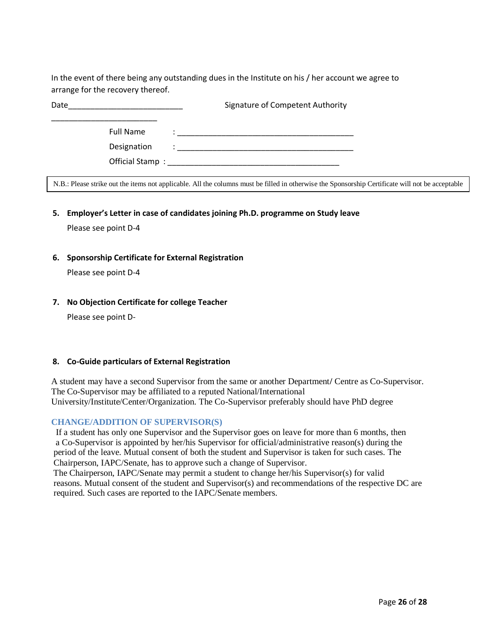In the event of there being any outstanding dues in the Institute on his / her account we agree to arrange for the recovery thereof.

| Date |                  | Signature of Competent Authority                                                                                                                 |
|------|------------------|--------------------------------------------------------------------------------------------------------------------------------------------------|
|      | <b>Full Name</b> | <u> 2000 - 2000 - 2000 - 2000 - 2000 - 2000 - 2000 - 2000 - 2000 - 2000 - 2000 - 2000 - 2000 - 2000 - 2000 - 200</u>                             |
|      | Designation      |                                                                                                                                                  |
|      |                  |                                                                                                                                                  |
|      |                  | N.B.: Please strike out the items not applicable. All the columns must be filled in otherwise the Sponsorship Certificate will not be acceptable |

**5. Employer's Letter in case of candidates joining Ph.D. programme on Study leave**

Please see point D-4

**6. Sponsorship Certificate for External Registration**

Please see point D-4

**7. No Objection Certificate for college Teacher**

Please see point D-

#### **8. Co-Guide particulars of External Registration**

A student may have a second Supervisor from the same or another Department**/** Centre as Co-Supervisor. The Co-Supervisor may be affiliated to a reputed National/International University/Institute/Center/Organization. The Co-Supervisor preferably should have PhD degree

#### **CHANGE/ADDITION OF SUPERVISOR(S)**

If a student has only one Supervisor and the Supervisor goes on leave for more than 6 months, then a Co-Supervisor is appointed by her/his Supervisor for official/administrative reason(s) during the period of the leave. Mutual consent of both the student and Supervisor is taken for such cases. The Chairperson, IAPC/Senate, has to approve such a change of Supervisor.

The Chairperson, IAPC/Senate may permit a student to change her/his Supervisor(s) for valid reasons. Mutual consent of the student and Supervisor(s) and recommendations of the respective DC are required. Such cases are reported to the IAPC/Senate members.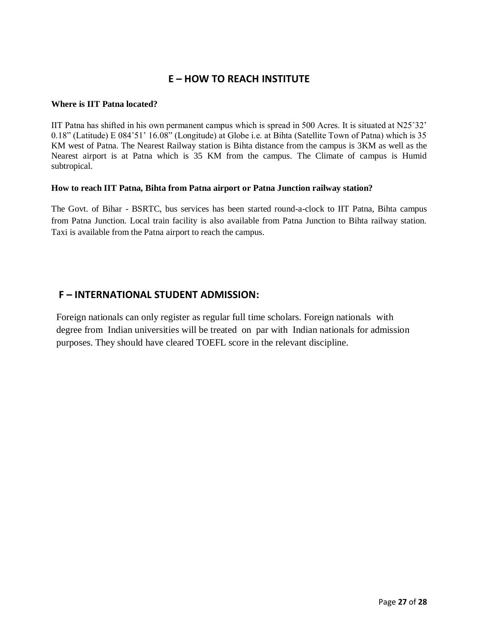### **E – HOW TO REACH INSTITUTE**

#### **Where is IIT Patna located?**

IIT Patna has shifted in his own permanent campus which is spread in 500 Acres. It is situated at N25˚32' 0.18" (Latitude) E 084˚51' 16.08" (Longitude) at Globe i.e. at Bihta (Satellite Town of Patna) which is 35 KM west of Patna. The Nearest Railway station is Bihta distance from the campus is 3KM as well as the Nearest airport is at Patna which is 35 KM from the campus. The Climate of campus is Humid subtropical.

#### **How to reach IIT Patna, Bihta from Patna airport or Patna Junction railway station?**

The Govt. of Bihar - BSRTC, bus services has been started round-a-clock to IIT Patna, Bihta campus from Patna Junction. Local train facility is also available from Patna Junction to Bihta railway station. Taxi is available from the Patna airport to reach the campus.

### **F – INTERNATIONAL STUDENT ADMISSION:**

 Foreign nationals can only register as regular full time scholars. Foreign nationals with degree from Indian universities will be treated on par with Indian nationals for admission purposes. They should have cleared TOEFL score in the relevant discipline.